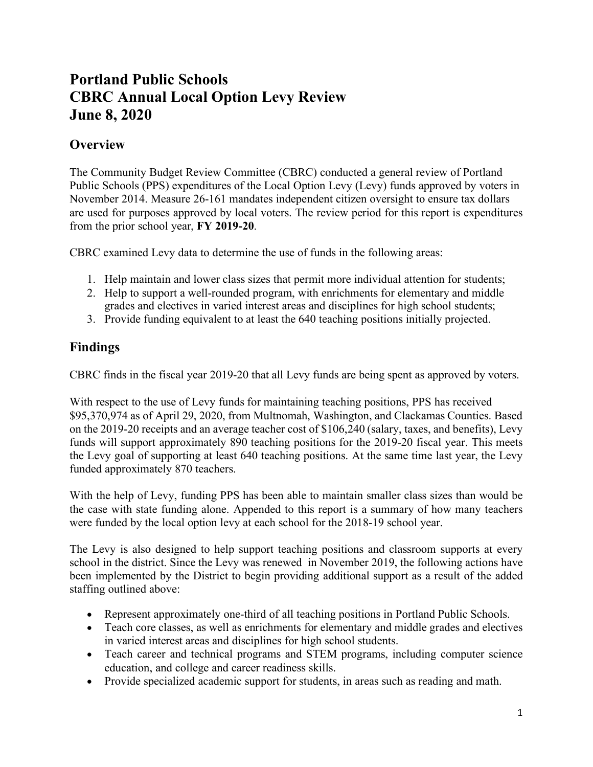## **Portland Public Schools CBRC Annual Local Option Levy Review June 8, 2020**

## **Overview**

The Community Budget Review Committee (CBRC) conducted a general review of Portland Public Schools (PPS) expenditures of the Local Option Levy (Levy) funds approved by voters in November 2014. Measure 26-161 mandates independent citizen oversight to ensure tax dollars are used for purposes approved by local voters. The review period for this report is expenditures from the prior school year, **FY 2019-20**.

CBRC examined Levy data to determine the use of funds in the following areas:

- 1. Help maintain and lower class sizes that permit more individual attention for students;
- 2. Help to support a well-rounded program, with enrichments for elementary and middle grades and electives in varied interest areas and disciplines for high school students;
- 3. Provide funding equivalent to at least the 640 teaching positions initially projected.

## **Findings**

CBRC finds in the fiscal year 2019-20 that all Levy funds are being spent as approved by voters.

With respect to the use of Levy funds for maintaining teaching positions, PPS has received \$95,370,974 as of April 29, 2020, from Multnomah, Washington, and Clackamas Counties. Based on the 2019-20 receipts and an average teacher cost of \$106,240 (salary, taxes, and benefits), Levy funds will support approximately 890 teaching positions for the 2019-20 fiscal year. This meets the Levy goal of supporting at least 640 teaching positions. At the same time last year, the Levy funded approximately 870 teachers.

With the help of Levy, funding PPS has been able to maintain smaller class sizes than would be the case with state funding alone. Appended to this report is a summary of how many teachers were funded by the local option levy at each school for the 2018-19 school year.

The Levy is also designed to help support teaching positions and classroom supports at every school in the district. Since the Levy was renewed in November 2019, the following actions have been implemented by the District to begin providing additional support as a result of the added staffing outlined above:

- Represent approximately one-third of all teaching positions in Portland Public Schools.
- Teach core classes, as well as enrichments for elementary and middle grades and electives in varied interest areas and disciplines for high school students.
- Teach career and technical programs and STEM programs, including computer science education, and college and career readiness skills.
- Provide specialized academic support for students, in areas such as reading and math.